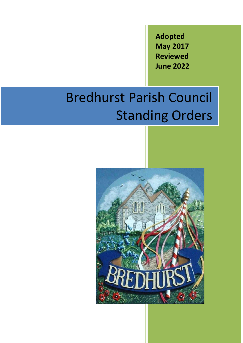**Adopted May 2017 Reviewed June 2022**

# Bredhurst Parish Council Standing Orders

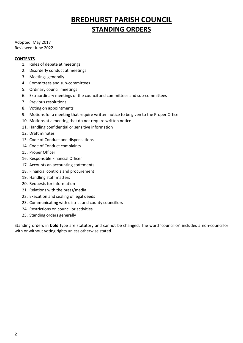# **BREDHURST PARISH COUNCIL STANDING ORDERS**

Adopted: May 2017 Reviewed: June 2022

#### **CONTENTS**

- 1. Rules of debate at meetings
- 2. Disorderly conduct at meetings
- 3. Meetings generally
- 4. Committees and sub-committees
- 5. Ordinary council meetings
- 6. Extraordinary meetings of the council and committees and sub-committees
- 7. Previous resolutions
- 8. Voting on appointments
- 9. Motions for a meeting that require written notice to be given to the Proper Officer
- 10. Motions at a meeting that do not require written notice
- 11. Handling confidential or sensitive information
- 12. Draft minutes
- 13. Code of Conduct and dispensations
- 14. Code of Conduct complaints
- 15. Proper Officer
- 16. Responsible Financial Officer
- 17. Accounts an accounting statements
- 18. Financial controls and procurement
- 19. Handling staff matters
- 20. Requests for information
- 21. Relations with the press/media
- 22. Execution and sealing of legal deeds
- 23. Communicating with district and county councillors
- 24. Restrictions on councillor activities
- 25. Standing orders generally

Standing orders in **bold** type are statutory and cannot be changed. The word 'councillor' includes a non-councillor with or without voting rights unless otherwise stated.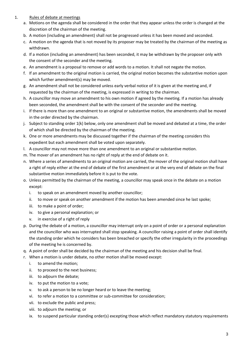- 1. Rules of debate at meetings
	- a. Motions on the agenda shall be considered in the order that they appear unless the order is changed at the discretion of the chairman of the meeting.
	- b. A motion (including an amendment) shall not be progressed unless it has been moved and seconded.
	- c. A motion on the agenda that is not moved by its proposer may be treated by the chairman of the meeting as withdrawn.
	- d. If a motion (including an amendment) has been seconded, it may be withdrawn by the proposer only with the consent of the seconder and the meeting.
	- e. An amendment is a proposal to remove or add words to a motion. It shall not negate the motion.
	- f. If an amendment to the original motion is carried, the original motion becomes the substantive motion upon which further amendment(s) may be moved.
	- g. An amendment shall not be considered unless early verbal notice of it is given at the meeting and, if requested by the chairman of the meeting, is expressed in writing to the chairman.
	- h. A councillor may move an amendment to his own motion if agreed by the meeting. If a motion has already been seconded, the amendment shall be with the consent of the seconder and the meeting.
	- i. If there is more than one amendment to an original or substantive motion, the amendments shall be moved in the order directed by the chairman.
	- j. Subject to standing order 1(k) below, only one amendment shall be moved and debated at a time, the order of which shall be directed by the chairman of the meeting.
	- k. One or more amendments may be discussed together if the chairman of the meeting considers this expedient but each amendment shall be voted upon separately.
	- l. A councillor may not move more than one amendment to an original or substantive motion.
	- m. The mover of an amendment has no right of reply at the end of debate on it.
	- n. Where a series of amendments to an original motion are carried, the mover of the original motion shall have a right of reply either at the end of debate of the first amendment or at the very end of debate on the final substantive motion immediately before it is put to the vote.
	- o. Unless permitted by the chairman of the meeting, a councillor may speak once in the debate on a motion except:
		- i. to speak on an amendment moved by another councillor;
		- ii. to move or speak on another amendment if the motion has been amended since he last spoke;
		- iii. to make a point of order;
		- iv. to give a personal explanation; or
		- v. in exercise of a right of reply
	- p. During the debate of a motion, a councillor may interrupt only on a point of order or a personal explanation and the councillor who was interrupted shall stop speaking. A councillor raising a point of order shall identify the standing order which he considers has been breached or specify the other irregularity in the proceedings of the meeting he is concerned by.
	- q. A point of order shall be decided by the chairman of the meeting and his decision shall be final.
	- r. When a motion is under debate, no other motion shall be moved except:
		- i. to amend the motion;
		- ii. to proceed to the next business;
		- iii. to adjourn the debate;
		- iv. to put the motion to a vote;
		- v. to ask a person to be no longer heard or to leave the meeting;
		- vi. to refer a motion to a committee or sub-committee for consideration;
		- vii. to exclude the public and press;
		- viii. to adjourn the meeting; or
		- ix. to suspend particular standing order(s) excepting those which reflect mandatory statutory requirements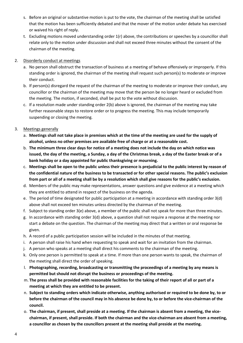- s. Before an original or substantive motion is put to the vote, the chairman of the meeting shall be satisfied that the motion has been sufficiently debated and that the mover of the motion under debate has exercised or waived his right of reply.
- t. Excluding motions moved understanding order 1(r) above, the contributions or speeches by a councillor shall relate only to the motion under discussion and shall not exceed three minutes without the consent of the chairman of the meeting.

# 2. Disorderly conduct at meetings

- a. No person shall obstruct the transaction of business at a meeting of behave offensively or improperly. If this standing order is ignored, the chairman of the meeting shall request such person(s) to moderate or improve their conduct.
- b. If person(s) disregard the request of the chairman of the meeting to moderate or improve their conduct, any councillor or the chairman of the meeting may move that the person be no longer heard or excluded from the meeting. The motion, if seconded, shall be put to the vote without discussion.
- c. If a resolution made under standing order 2(b) above is ignored, the chairman of the meeting may take further reasonable steps to restore order or to progress the meeting. This may include temporarily suspending or closing the meeting.

# 3. Meetings generally

- a. **Meetings shall not take place in premises which at the time of the meeting are used for the supply of alcohol, unless no other premises are available free of charge or at a reasonable cost.**
- b. **The minimum three clear days for notice of a meeting does not include the day on which notice was issued, the day of the meeting, a Sunday, a day of the Christmas break, a day of the Easter break or of a bank holiday or a day appointed for public thanksgiving or mourning.**
- c. **Meetings shall be open to the public unless their presence is prejudicial to the public interest by reason of the confidential nature of the business to be transacted or for other special reasons. The public's exclusion from part or all of a meeting shall be by a resolution which shall give reasons for the public's exclusion.**
- d. Members of the public may make representations, answer questions and give evidence at a meeting which they are entitled to attend in respect of the business on the agenda.
- e. The period of time designated for public participation at a meeting in accordance with standing order 3(d) above shall not exceed ten minutes unless directed by the chairman of the meeting.
- f. Subject to standing order 3(e) above, a member of the public shall not speak for more than three minutes.
- g. In accordance with standing order 3(d) above, a question shall not require a response at the meeting nor start a debate on the question. The chairman of the meeting may direct that a written or oral response be given.
- h. A record of a public participation session will be included in the minutes of that meeting.
- i. A person shall raise his hand when requesting to speak and wait for an invitation from the chairman.
- j. A person who speaks at a meeting shall direct his comments to the chairman of the meeting.
- k. Only one person is permitted to speak at a time. If more than one person wants to speak, the chairman of the meeting shall direct the order of speaking.
- l. **Photographing, recording, broadcasting or transmitting the proceedings of a meeting by any means is permitted but should not disrupt the business or proceedings of the meeting.**
- m. **The press shall be provided with reasonable facilities for the taking of their report of all or part of a meeting at which they are entitled to be present.**
- n. **Subject to standing orders which indicate otherwise, anything authorised or required to be done by, to or before the chairman of the council may in his absence be done by, to or before the vice-chairman of the council.**
- o. **The chairman, if present, shall preside at a meeting. If the chairman is absent from a meeting, the vicechairman, if present, shall preside. If both the chairman and the vice-chairman are absent from a meeting, a councillor as chosen by the councillors present at the meeting shall preside at the meeting.**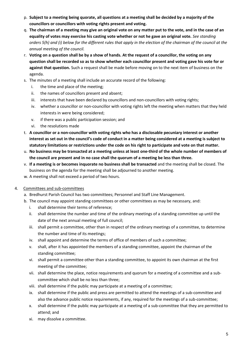- p. **Subject to a meeting being quorate, all questions at a meeting shall be decided by a majority of the councillors or councillors with voting rights present and voting.**
- q. **The chairman of a meeting may give an original vote on any matter put to the vote, and in the case of an equality of votes may exercise his casting vote whether or not he gave an original vote.** *See standing orders 5(h) and (i) below for the different rules that apply in the election of the chairman of the council at the annual meeting of the council.*
- r. **Voting on a question shall be by a show of hands. At the request of a councillor, the voting on any question shall be recorded so as to show whether each councillor present and voting gave his vote for or against that question.** Such a request shall be made before moving on to the next item of business on the agenda.
- s. The minutes of a meeting shall include an accurate record of the following:
	- i. the time and place of the meeting;
	- ii. the names of councillors present and absent;
	- iii. interests that have been declared by councillors and non-councillors with voting rights;
	- iv. whether a councillor or non-councillor with voting rights left the meeting when matters that they held interests in were being considered;
	- v. if there was a public participation session; and
	- vi. the resolutions made
- t. **A councillor or a non-councillor with voting rights who has a disclosable pecuniary interest or another interest as set out in the council's code of conduct in a matter being considered at a meeting is subject to statutory limitations or restrictions under the code on his right to participate and vote on that matter.**
- u. **No business may be transacted at a meeting unless at least one-third of the whole number of members of the council are present and in no case shall the quorum of a meeting be less than three.**
- v. **If a meeting is or becomes inquorate no business shall be transacted** and the meeting shall be closed. The business on the agenda for the meeting shall be adjourned to another meeting.
- w. A meeting shall not exceed a period of two hours.
- 4. Committees and sub-committees
	- a. Bredhurst Parish Council has two committees; Personnel and Staff Line Management.
	- b. The council may appoint standing committees or other committees as may be necessary, and:
		- i. shall determine their terms of reference;
		- ii. shall determine the number and time of the ordinary meetings of a standing committee up until the date of the next annual meeting of full council;
		- iii. shall permit a committee, other than in respect of the ordinary meetings of a committee, to determine the number and time of its meetings;
		- iv. shall appoint and determine the terms of office of members of such a committee;
		- v. shall, after it has appointed the members of a standing committee, appoint the chairman of the standing committee;
		- vi. shall permit a committee other than a standing committee, to appoint its own chairman at the first meeting of the committee;
		- vii. shall determine the place, notice requirements and quorum for a meeting of a committee and a subcommittee which shall be no less than three;
		- viii. shall determine if the public may participate at a meeting of a committee;
		- ix. shall determine if the public and press are permitted to attend the meetings of a sub-committee and also the advance public notice requirements, if any, required for the meetings of a sub-committee;
		- x. shall determine if the public may participate at a meeting of a sub-committee that they are permitted to attend; and
		- xi. may dissolve a committee.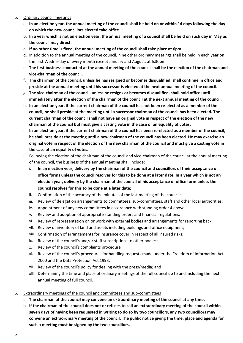#### 5. Ordinary council meetings

- a. **In an election year, the annual meeting of the council shall be held on or within 14 days following the day on which the new councillors elected take office.**
- b. **In a year which is not an election year, the annual meeting of a council shall be held on such day in May as the council may direct.**
- c. **If no other time is fixed, the annual meeting of the council shall take place at 6pm.**
- d. In addition to the annual meeting of the council, nine other ordinary meetings shall be held in each year on the first Wednesday of every month except January and August, at 6.30pm.
- e. **The first business conducted at the annual meeting of the council shall be the election of the chairman and vice-chairman of the council.**
- f. **The chairman of the council, unless he has resigned or becomes disqualified, shall continue in office and preside at the annual meeting until his successor is elected at the next annual meeting of the council.**
- g. **The vice-chairman of the council, unless he resigns or becomes disqualified, shall hold office until immediately after the election of the chairman of the council at the next annual meeting of the council.**
- h. **In an election year, if the current chairman of the council has not been re-elected as a member of the council, he shall preside at the meeting until a successor chairman of the council has been elected. The current chairman of the council shall not have an original vote in respect of the election of the new chairman of the council but must give a casting vote in the case of an equality of votes.**
- i. **In an election year, if the current chairman of the council has been re-elected as a member of the council, he shall preside at the meeting until a new chairman of the council has been elected. He may exercise an original vote in respect of the election of the new chairman of the council and must give a casting vote in the case of an equality of votes.**
- j. Following the election of the chairman of the council and vice-chairman of the council at the annual meeting of the council, the business of the annual meeting shall include:
	- i. **In an election year, delivery by the chairman of the council and councillors of their acceptance of office forms unless the council resolves for this to be done at a later date**. **In a year which is not an election year, delivery by the chairman of the council of his acceptance of office form unless the council resolves for this to be done at a later date;**
	- ii. Confirmation of the accuracy of the minutes of the last meeting of the council;
	- iii. Review of delegation arrangements to committees, sub-committees, staff and other local authorities;
	- iv. Appointment of any new committees in accordance with standing order 4 above;
	- v. Review and adoption of appropriate standing orders and financial regulations;
	- vi. Review of representation on or work with external bodies and arrangements for reporting back;
	- vii. Review of inventory of land and assets including buildings and office equipment;
	- viii. Confirmation of arrangements for insurance cover in respect of all insured risks;
	- ix. Review of the council's and/or staff subscriptions to other bodies;
	- x. Review of the council's complaints procedure
	- xi. Review of the council's procedures for handling requests made under the Freedom of Information Act 2000 and the Data Protection Act 1998;
	- xii. Review of the council's policy for dealing with the press/media; and
	- xiii. Determining the time and place of ordinary meetings of the full council up to and including the next annual meeting of full council.
- 6. Extraordinary meetings of the council and committees and sub-committees
	- a. **The chairman of the council may convene an extraordinary meeting of the council at any time.**
	- b. **If the chairman of the council does not or refuses to call an extraordinary meeting of the council within seven days of having been requested in writing to do so by two councillors, any two councillors may convene an extraordinary meeting of the council. The public notice giving the time, place and agenda for such a meeting must be signed by the two councillors.**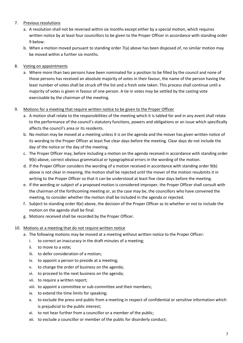#### 7. Previous resolutions

- a. A resolution shall not be reversed within six months except either by a special motion, which requires written notice by at least four councillors to be given to the Proper Officer in accordance with standing order 9 below.
- b. When a motion moved pursuant to standing order 7(a) above has been disposed of, no similar motion may be moved within a further six months.

# 8. Voting on appointments

a. Where more than two persons have been nominated for a position to be filled by the council and none of those persons has received an absolute majority of votes in their favour, the name of the person having the least number of votes shall be struck off the list and a fresh vote taken. This process shall continue until a majority of votes is given in favour of one person. A tie in votes may be settled by the casting vote exercisable by the chairman of the meeting.

#### 9. Motions for a meeting that require written notice to be given to the Proper Officer

- a. A motion shall relate to the responsibilities of the meeting which it is tabled for and in any event shall relate to the performance of the council's statutory functions, powers and obligations or an issue which specifically affects the council's area or its residents.
- b. No motion may be moved at a meeting unless it is on the agenda and the mover has given written notice of its wording to the Proper Officer at least five clear days before the meeting. Clear days do not include the day of the notice or the day of the meeting.
- c. The Proper Officer may, before including a motion on the agenda received in accordance with standing order 9(b) above, correct obvious grammatical or typographical errors in the wording of the motion.
- d. If the Proper Officer considers the wording of a motion received in accordance with standing order 9(b) above is not clear in meaning, the motion shall be rejected until the mover of the motion resubmits it in writing to the Proper Officer so that it can be understood at least five clear days before the meeting.
- e. If the wording or subject of a proposed motion is considered improper, the Proper Officer shall consult with the chairman of the forthcoming meeting or, as the case may be, the councillors who have convened the meeting, to consider whether the motion shall be included in the agenda or rejected.
- f. Subject to standing order 9(e) above, the decision of the Proper Officer as to whether or not to include the motion on the agenda shall be final.
- g. Motions received shall be recorded by the Proper Officer.

#### 10. Motions at a meeting that do not require written notice

- a. The following motions may be moved at a meeting without written notice to the Proper Officer:
	- i. to correct an inaccuracy in the draft minutes of a meeting;
	- ii. to move to a vote;
	- iii. to defer consideration of a motion;
	- iv. to appoint a person to preside at a meeting;
	- v. to change the order of business on the agenda;
	- vi. to proceed to the next business on the agenda;
	- vii. to require a written report;
	- viii. to appoint a committee or sub-committee and their members;
	- ix. to extend the time limits for speaking;
	- x. to exclude the press and public from a meeting in respect of confidential or sensitive information which is prejudicial to the public interest;
	- xi. to not hear further from a councillor or a member of the public;
	- xii. to exclude a councillor or member of the public for disorderly conduct;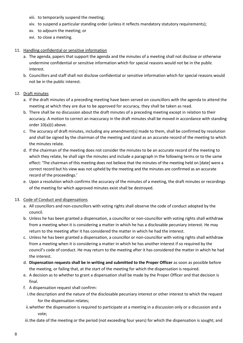- xiii. to temporarily suspend the meeting;
- xiv. to suspend a particular standing order (unless it reflects mandatory statutory requirements);
- xv. to adjourn the meeting; or
- xvi. to close a meeting.

#### 11. Handling confidential or sensitive information

- a. The agenda, papers that support the agenda and the minutes of a meeting shall not disclose or otherwise undermine confidential or sensitive information which for special reasons would not be in the public interest.
- b. Councillors and staff shall not disclose confidential or sensitive information which for special reasons would not be in the public interest.

#### 12. Draft minutes

- a. If the draft minutes of a preceding meeting have been served on councillors with the agenda to attend the meeting at which they are due to be approved for accuracy, they shall be taken as read.
- b. There shall be no discussion about the draft minutes of a preceding meeting except in relation to their accuracy. A motion to correct an inaccuracy in the draft minutes shall be moved in accordance with standing order 10(a)(i) above.
- c. The accuracy of draft minutes, including any amendment(s) made to them, shall be confirmed by resolution and shall be signed by the chairman of the meeting and stand as an accurate record of the meeting to which the minutes relate.
- d. If the chairman of the meeting does not consider the minutes to be an accurate record of the meeting to which they relate, he shall sign the minutes and include a paragraph in the following terms or to the same effect: 'The chairman of this meeting does not believe that the minutes of the meeting held on [date] were a correct record but his view was not upheld by the meeting and the minutes are confirmed as an accurate record of the proceedings.'
- e. Upon a resolution which confirms the accuracy of the minutes of a meeting, the draft minutes or recordings of the meeting for which approved minutes exist shall be destroyed.

# 13. Code of Conduct and dispensations

- a. All councillors and non-councillors with voting rights shall observe the code of conduct adopted by the council.
- b. Unless he has been granted a dispensation, a councillor or non-councillor with voting rights shall withdraw from a meeting when it is considering a matter in which he has a disclosable pecuniary interest. He may return to the meeting after it has considered the matter in which he had the interest.
- c. Unless he has been granted a dispensation, a councillor or non-councillor with voting rights shall withdraw from a meeting when it is considering a matter in which he has another interest if so required by the council's code of conduct. He may return to the meeting after it has considered the matter in which he had the interest.
- d. **Dispensation requests shall be in writing and submitted to the Proper Officer** as soon as possible before the meeting, or failing that, at the start of the meeting for which the dispensation is required.
- e. A decision as to whether to grant a dispensation shall be made by the Proper Officer and that decision is final.
- f. A dispensation request shall confirm:
	- i.the description and the nature of the disclosable pecuniary interest or other interest to which the request for the dispensation relates;
	- ii.whether the dispensation is required to participate at a meeting in a discussion only or a discussion and a vote;

iii.the date of the meeting or the period (not exceeding four years) for which the dispensation is sought; and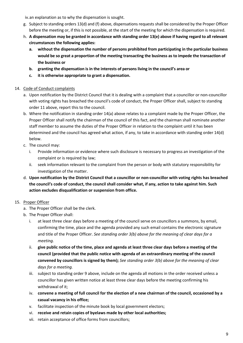iv.an explanation as to why the dispensation is sought.

- g. Subject to standing orders 13(d) and (f) above, dispensations requests shall be considered by the Proper Officer before the meeting or, if this is not possible, at the start of the meeting for which the dispensation is required.
- h. **A dispensation may be granted in accordance with standing order 13(e) above if having regard to all relevant circumstances the following applies:**
	- **a. without the dispensation the number of persons prohibited from participating in the particular business would be so great a proportion of the meeting transacting the business as to impede the transaction of the business or**
	- **b. granting the dispensation is in the interests of persons living in the council's area or**
	- **c. it is otherwise appropriate to grant a dispensation.**

#### 14. Code of Conduct complaints

- a. Upon notification by the District Council that it is dealing with a complaint that a councillor or non-councillor with voting rights has breached the council's code of conduct, the Proper Officer shall, subject to standing order 11 above, report this to the council.
- b. Where the notification in standing order 14(a) above relates to a complaint made by the Proper Officer, the Proper Officer shall notify the chairman of the council of this fact, and the chairman shall nominate another staff member to assume the duties of the Proper Officer in relation to the complaint until it has been determined and the council has agreed what action, if any, to take in accordance with standing order 14(d) below.
- c. The council may:
	- i. Provide information or evidence where such disclosure is necessary to progress an investigation of the complaint or is required by law;
	- ii. seek information relevant to the complaint from the person or body with statutory responsibility for investigation of the matter.
- d. **Upon notification by the District Council that a councillor or non-councillor with voting rights has breached the council's code of conduct, the council shall consider what, if any, action to take against him. Such action excludes disqualification or suspension from office.**

# 15. Proper Officer

- a. The Proper Officer shall be the clerk.
- b. The Proper Officer shall:
	- i. at least three clear days before a meeting of the council serve on councillors a summons, by email, confirming the time, place and the agenda provided any such email contains the electronic signature and title of the Proper Officer. *See standing order 3(b) above for the meaning of clear days for a meeting.*
	- ii. **give public notice of the time, place and agenda at least three clear days before a meeting of the council (provided that the public notice with agenda of an extraordinary meeting of the council convened by councillors is signed by them);** *See standing order 3(b) above for the meaning of clear days for a meeting.*
	- iii. subject to standing order 9 above, include on the agenda all motions in the order received unless a councillor has given written notice at least three clear days before the meeting confirming his withdrawal of it;
	- iv. **convene a meeting of full council for the election of a new chairman of the council, occasioned by a casual vacancy in his office;**
	- v. facilitate inspection of the minute book by local government electors;
	- vi. **receive and retain copies of byelaws made by other local authorities;**
	- vii. retain acceptance of office forms from councillors;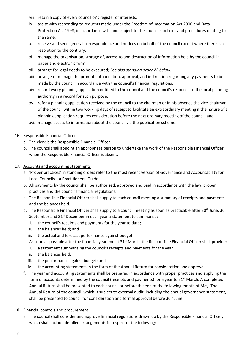- viii. retain a copy of every councillor's register of interests;
- ix. assist with responding to requests made under the Freedom of Information Act 2000 and Data Protection Act 1998, in accordance with and subject to the council's policies and procedures relating to the same;
- x. receive and send general correspondence and notices on behalf of the council except where there is a resolution to the contrary;
- xi. manage the organisation, storage of, access to and destruction of information held by the council in paper and electronic form;
- xii. arrange for legal deeds to be executed; *See also standing order 22 below.*
- xiii. arrange or manage the prompt authorisation, approval, and instruction regarding any payments to be made by the council in accordance with the council's financial regulations;
- xiv. record every planning application notified to the council and the council's response to the local planning authority in a record for such purpose;
- xv. refer a planning application received by the council to the chairman or in his absence the vice-chairman of the council within two working days of receipt to facilitate an extraordinary meeting if the nature of a planning application requires consideration before the next ordinary meeting of the council; and
- xvi. manage access to information about the council via the publication scheme.
- 16. Responsible Financial Officer
	- a. The clerk is the Responsible Financial Officer.
	- b. The council shall appoint an appropriate person to undertake the work of the Responsible Financial Officer when the Responsible Financial Officer is absent.
- 17. Accounts and accounting statements
	- a. 'Proper practices' in standing orders refer to the most recent version of Governance and Accountability for Local Councils – a Practitioners' Guide.
	- b. All payments by the council shall be authorised, approved and paid in accordance with the law, proper practices and the council's financial regulations.
	- c. The Responsible Financial Officer shall supply to each council meeting a summary of receipts and payments and the balances held.
	- d. The Responsible Financial Officer shall supply to a council meeting as soon as practicable after 30<sup>th</sup> June, 30<sup>th</sup> September and 31<sup>st</sup> December in each year a statement to summarise:
		- i. the council's receipts and payments for the year to date;
		- ii. the balances held; and
		- iii. the actual and forecast performance against budget.
	- e. As soon as possible after the financial year end at 31<sup>st</sup> March, the Responsible Financial Officer shall provide:
		- i. a statement summarising the council's receipts and payments for the year
		- ii. the balances held;
		- iii. the performance against budget; and
		- iv. the accounting statements in the form of the Annual Return for consideration and approval.
	- f. The year end accounting statements shall be prepared in accordance with proper practices and applying the form of accounts determined by the council (receipts and payments) for a year to 31<sup>st</sup> March. A completed Annual Return shall be presented to each councillor before the end of the following month of May. The Annual Return of the council, which is subject to external audit, including the annual governance statement, shall be presented to council for consideration and formal approval before  $30<sup>th</sup>$  June.
- 18. Financial controls and procurement
	- a. The council shall consider and approve financial regulations drawn up by the Responsible Financial Officer, which shall include detailed arrangements in respect of the following: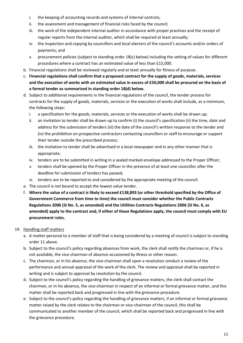- i. the keeping of accounting records and systems of internal controls;
- ii. the assessment and management of financial risks faced by the council;
- iii. the work of the independent internal auditor in accordance with proper practices and the receipt of regular reports from the internal auditor, which shall be required at least annually;
- iv. the inspection and copying by councillors and local electors of the council's accounts and/or orders of payments; and
- v. procurement policies (subject to standing order 18(c) below) including the setting of values for different procedures where a contract has an estimated value of less than £15,000.
- b. Financial regulations shall be reviewed regularly and at least annually for fitness of purpose.
- c. **Financial regulations shall confirm that a proposed contract for the supply of goods, materials, services and the execution of works with an estimated value in excess of £50,000 shall be procured on the basis of a formal tender as summarised in standing order 18(d) below.**
- d. Subject to additional requirements in the financial regulations of the council, the tender process for contracts for the supply of goods, materials, services or the execution of works shall include, as a minimum, the following steps:
	- i. a specification for the goods, materials, services or the execution of works shall be drawn up;
	- ii. an invitation to tender shall be drawn up to confirm (i) the council's specification (ii) the time, date and address for the submission of tenders (iii) the date of the council's written response to the tender and (iv) the prohibition on prospective contractors contacting councillors or staff to encourage or support their tender outside the prescribed process;
	- iii. the invitation to tender shall be advertised in a local newspaper and in any other manner that is appropriate;
	- iv. tenders are to be submitted in writing in a sealed marked envelope addressed to the Proper Officer;
	- v. tenders shall be opened by the Proper Officer in the presence of at least one councillor after the deadline for submission of tenders has passed;
	- vi. tenders are to be reported to and considered by the appropriate meeting of the council.
- e. The council is not bound to accept the lowest value tender.
- f. **Where the value of a contract is likely to exceed £138,893 (or other threshold specified by the Office of Government Commerce from time to time) the council must consider whether the Public Contracts Regulations 2006 (SI No. 5, as amended) and the Utilities Contracts Regulations 2006 (SI No. 6, as amended) apply to the contract and, if either of those Regulations apply, the council must comply with EU procurement rules.**

# 19. Handling staff matters

- a. A matter personal to a member of staff that is being considered by a meeting of council is subject to standing order 11 above.
- b. Subject to the council's policy regarding absences from work, the clerk shall notify the chairman or, if he is not available, the vice-chairman of absence occasioned by illness or other reason.
- c. The chairman, or in his absence, the vice-chairman shall upon a resolution conduct a review of the performance and annual appraisal of the work of the clerk. The review and appraisal shall be reported in writing and is subject to approval by resolution by the council.
- d. Subject to the council's policy regarding the handling of grievance matters, the clerk shall contact the chairman, or in his absence, the vice-chairman in respect of an informal or formal grievance matter, and this matter shall be reported back and progressed in line with the grievance procedure.
- e. Subject to the council's policy regarding the handling of grievance matters, if an informal or formal grievance matter raised by the clerk relates to the chairman or vice-chairman of the council, this shall be communicated to another member of the council, which shall be reported back and progressed in line with the grievance procedure.